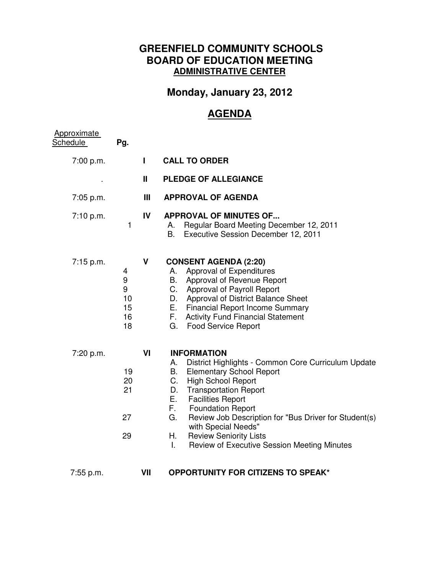## **GREENFIELD COMMUNITY SCHOOLS BOARD OF EDUCATION MEETING ADMINISTRATIVE CENTER**

## **Monday, January 23, 2012**

## **AGENDA**

| Approximate<br>Schedule | Pg.                                 |              |                                                                                                                                                                                                                                                                                                                                                                                                                                                         |  |  |
|-------------------------|-------------------------------------|--------------|---------------------------------------------------------------------------------------------------------------------------------------------------------------------------------------------------------------------------------------------------------------------------------------------------------------------------------------------------------------------------------------------------------------------------------------------------------|--|--|
| 7:00 p.m.               |                                     | $\mathbf{I}$ | <b>CALL TO ORDER</b>                                                                                                                                                                                                                                                                                                                                                                                                                                    |  |  |
|                         |                                     | Ш            | <b>PLEDGE OF ALLEGIANCE</b>                                                                                                                                                                                                                                                                                                                                                                                                                             |  |  |
| 7:05 p.m.               |                                     | Ш            | <b>APPROVAL OF AGENDA</b>                                                                                                                                                                                                                                                                                                                                                                                                                               |  |  |
| 7:10 p.m.               | $\mathbf{1}$                        | IV           | <b>APPROVAL OF MINUTES OF</b><br>Regular Board Meeting December 12, 2011<br>А.<br>В.<br>Executive Session December 12, 2011                                                                                                                                                                                                                                                                                                                             |  |  |
| 7:15 p.m.               | 4<br>9<br>9<br>10<br>15<br>16<br>18 | V            | <b>CONSENT AGENDA (2:20)</b><br>Approval of Expenditures<br>А.<br>Approval of Revenue Report<br>В.<br>Approval of Payroll Report<br>C.<br>Approval of District Balance Sheet<br>D.<br>Е.<br><b>Financial Report Income Summary</b><br>F.<br><b>Activity Fund Financial Statement</b><br><b>Food Service Report</b><br>G.                                                                                                                                |  |  |
| 7:20 p.m.               | 19<br>20<br>21<br>27<br>29          | VI           | <b>INFORMATION</b><br>District Highlights - Common Core Curriculum Update<br>А.<br><b>Elementary School Report</b><br>B.<br>C.<br><b>High School Report</b><br><b>Transportation Report</b><br>D.<br>Е.<br><b>Facilities Report</b><br>F.<br><b>Foundation Report</b><br>G.<br>Review Job Description for "Bus Driver for Student(s)<br>with Special Needs"<br>Η.<br><b>Review Seniority Lists</b><br>L.<br>Review of Executive Session Meeting Minutes |  |  |
| 7:55 p.m.               |                                     | VII          | <b>OPPORTUNITY FOR CITIZENS TO SPEAK*</b>                                                                                                                                                                                                                                                                                                                                                                                                               |  |  |